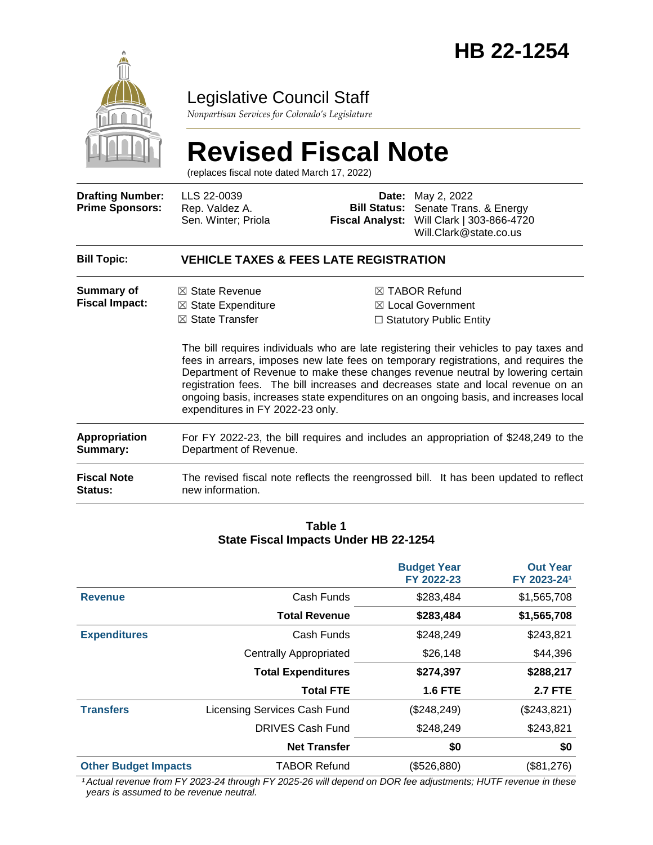

## Legislative Council Staff

*Nonpartisan Services for Colorado's Legislature*

# **Revised Fiscal Note**

(replaces fiscal note dated March 17, 2022)

| <b>Drafting Number:</b><br><b>Prime Sponsors:</b> | LLS 22-0039<br>Rep. Valdez A.<br>Sen. Winter; Priola                                                                         |  | <b>Date:</b> May 2, 2022<br>Bill Status: Senate Trans. & Energy<br>Fiscal Analyst: Will Clark   303-866-4720<br>Will.Clark@state.co.us                                                                                                                                                                                                                                                                                                                                                                                                      |  |
|---------------------------------------------------|------------------------------------------------------------------------------------------------------------------------------|--|---------------------------------------------------------------------------------------------------------------------------------------------------------------------------------------------------------------------------------------------------------------------------------------------------------------------------------------------------------------------------------------------------------------------------------------------------------------------------------------------------------------------------------------------|--|
| <b>Bill Topic:</b>                                | <b>VEHICLE TAXES &amp; FEES LATE REGISTRATION</b>                                                                            |  |                                                                                                                                                                                                                                                                                                                                                                                                                                                                                                                                             |  |
| Summary of<br><b>Fiscal Impact:</b>               | $\boxtimes$ State Revenue<br>$\boxtimes$ State Expenditure<br>$\boxtimes$ State Transfer<br>expenditures in FY 2022-23 only. |  | $\boxtimes$ TABOR Refund<br>$\boxtimes$ Local Government<br>$\Box$ Statutory Public Entity<br>The bill requires individuals who are late registering their vehicles to pay taxes and<br>fees in arrears, imposes new late fees on temporary registrations, and requires the<br>Department of Revenue to make these changes revenue neutral by lowering certain<br>registration fees. The bill increases and decreases state and local revenue on an<br>ongoing basis, increases state expenditures on an ongoing basis, and increases local |  |
| <b>Appropriation</b><br>Summary:                  | For FY 2022-23, the bill requires and includes an appropriation of \$248,249 to the<br>Department of Revenue.                |  |                                                                                                                                                                                                                                                                                                                                                                                                                                                                                                                                             |  |
| <b>Fiscal Note</b><br>Status:                     | new information.                                                                                                             |  | The revised fiscal note reflects the reengrossed bill. It has been updated to reflect                                                                                                                                                                                                                                                                                                                                                                                                                                                       |  |

#### **Table 1 State Fiscal Impacts Under HB 22-1254**

|                             |                               | <b>Budget Year</b><br>FY 2022-23 | <b>Out Year</b><br>FY 2023-241 |
|-----------------------------|-------------------------------|----------------------------------|--------------------------------|
| <b>Revenue</b>              | Cash Funds                    | \$283,484                        | \$1,565,708                    |
|                             | <b>Total Revenue</b>          | \$283,484                        | \$1,565,708                    |
| <b>Expenditures</b>         | Cash Funds                    | \$248,249                        | \$243,821                      |
|                             | <b>Centrally Appropriated</b> | \$26,148                         | \$44,396                       |
|                             | <b>Total Expenditures</b>     | \$274,397                        | \$288,217                      |
|                             | <b>Total FTE</b>              | <b>1.6 FTE</b>                   | <b>2.7 FTE</b>                 |
| <b>Transfers</b>            | Licensing Services Cash Fund  | (\$248,249)                      | (\$243,821)                    |
|                             | DRIVES Cash Fund              | \$248,249                        | \$243,821                      |
|                             | <b>Net Transfer</b>           | \$0                              | \$0                            |
| <b>Other Budget Impacts</b> | <b>TABOR Refund</b>           | (\$526,880)                      | (\$81,276)                     |

*¹Actual revenue from FY 2023-24 through FY 2025-26 will depend on DOR fee adjustments; HUTF revenue in these years is assumed to be revenue neutral.*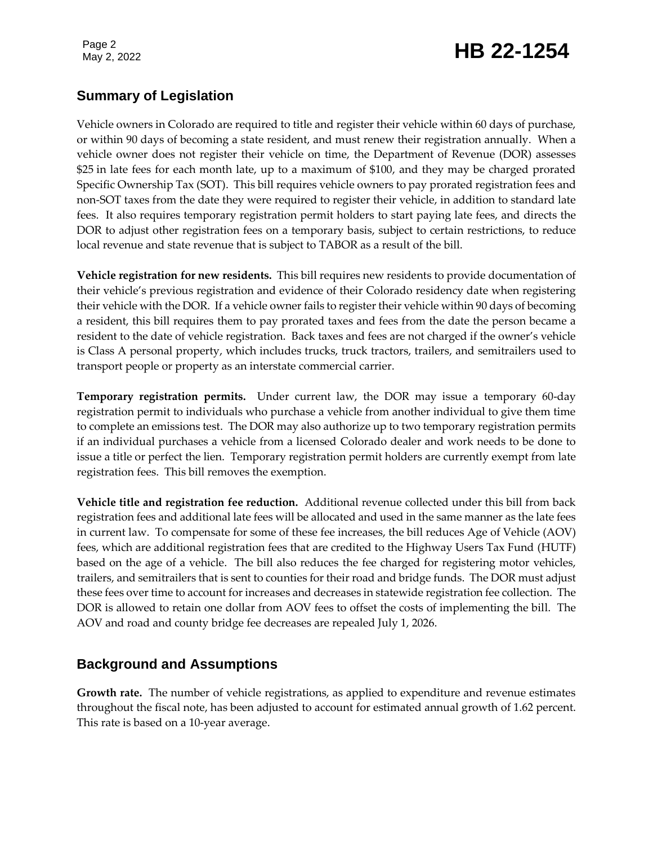## May 2, 2022 **HB 22-1254**

### **Summary of Legislation**

Vehicle owners in Colorado are required to title and register their vehicle within 60 days of purchase, or within 90 days of becoming a state resident, and must renew their registration annually. When a vehicle owner does not register their vehicle on time, the Department of Revenue (DOR) assesses \$25 in late fees for each month late, up to a maximum of \$100, and they may be charged prorated Specific Ownership Tax (SOT). This bill requires vehicle owners to pay prorated registration fees and non-SOT taxes from the date they were required to register their vehicle, in addition to standard late fees. It also requires temporary registration permit holders to start paying late fees, and directs the DOR to adjust other registration fees on a temporary basis, subject to certain restrictions, to reduce local revenue and state revenue that is subject to TABOR as a result of the bill.

**Vehicle registration for new residents.** This bill requires new residents to provide documentation of their vehicle's previous registration and evidence of their Colorado residency date when registering their vehicle with the DOR. If a vehicle owner fails to register their vehicle within 90 days of becoming a resident, this bill requires them to pay prorated taxes and fees from the date the person became a resident to the date of vehicle registration. Back taxes and fees are not charged if the owner's vehicle is Class A personal property, which includes trucks, truck tractors, trailers, and semitrailers used to transport people or property as an interstate commercial carrier.

**Temporary registration permits.** Under current law, the DOR may issue a temporary 60-day registration permit to individuals who purchase a vehicle from another individual to give them time to complete an emissions test. The DOR may also authorize up to two temporary registration permits if an individual purchases a vehicle from a licensed Colorado dealer and work needs to be done to issue a title or perfect the lien. Temporary registration permit holders are currently exempt from late registration fees. This bill removes the exemption.

**Vehicle title and registration fee reduction.** Additional revenue collected under this bill from back registration fees and additional late fees will be allocated and used in the same manner as the late fees in current law. To compensate for some of these fee increases, the bill reduces Age of Vehicle (AOV) fees, which are additional registration fees that are credited to the Highway Users Tax Fund (HUTF) based on the age of a vehicle. The bill also reduces the fee charged for registering motor vehicles, trailers, and semitrailers that is sent to counties for their road and bridge funds. The DOR must adjust these fees over time to account for increases and decreases in statewide registration fee collection. The DOR is allowed to retain one dollar from AOV fees to offset the costs of implementing the bill. The AOV and road and county bridge fee decreases are repealed July 1, 2026.

## **Background and Assumptions**

**Growth rate.** The number of vehicle registrations, as applied to expenditure and revenue estimates throughout the fiscal note, has been adjusted to account for estimated annual growth of 1.62 percent. This rate is based on a 10-year average.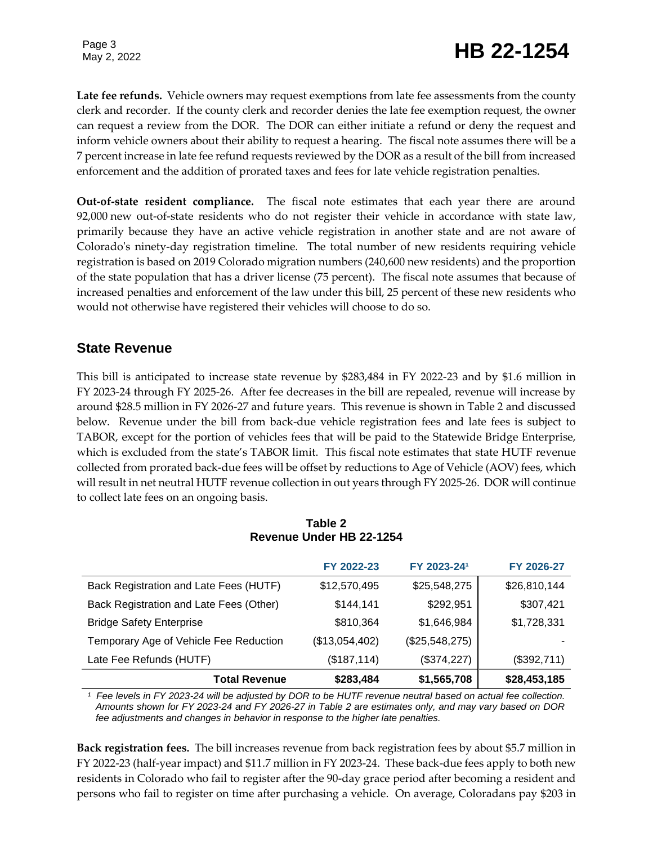## May 2, 2022 **HB 22-1254**

**Late fee refunds.** Vehicle owners may request exemptions from late fee assessments from the county clerk and recorder. If the county clerk and recorder denies the late fee exemption request, the owner can request a review from the DOR. The DOR can either initiate a refund or deny the request and inform vehicle owners about their ability to request a hearing. The fiscal note assumes there will be a 7 percent increase in late fee refund requests reviewed by the DOR as a result of the bill from increased enforcement and the addition of prorated taxes and fees for late vehicle registration penalties.

**Out-of-state resident compliance.** The fiscal note estimates that each year there are around 92,000 new out-of-state residents who do not register their vehicle in accordance with state law, primarily because they have an active vehicle registration in another state and are not aware of Colorado's ninety-day registration timeline. The total number of new residents requiring vehicle registration is based on 2019 Colorado migration numbers (240,600 new residents) and the proportion of the state population that has a driver license (75 percent). The fiscal note assumes that because of increased penalties and enforcement of the law under this bill, 25 percent of these new residents who would not otherwise have registered their vehicles will choose to do so.

#### **State Revenue**

This bill is anticipated to increase state revenue by \$283,484 in FY 2022-23 and by \$1.6 million in FY 2023-24 through FY 2025-26. After fee decreases in the bill are repealed, revenue will increase by around \$28.5 million in FY 2026-27 and future years. This revenue is shown in Table 2 and discussed below. Revenue under the bill from back-due vehicle registration fees and late fees is subject to TABOR, except for the portion of vehicles fees that will be paid to the Statewide Bridge Enterprise, which is excluded from the state's TABOR limit. This fiscal note estimates that state HUTF revenue collected from prorated back-due fees will be offset by reductions to Age of Vehicle (AOV) fees, which will result in net neutral HUTF revenue collection in out years through FY 2025-26. DOR will continue to collect late fees on an ongoing basis.

| \$283,484      | \$1,565,708    | \$28,453,185 |
|----------------|----------------|--------------|
| (\$187, 114)   | (\$374,227)    | (\$392,711)  |
| (\$13,054,402) | (\$25,548,275) |              |
| \$810,364      | \$1,646,984    | \$1,728,331  |
| \$144,141      | \$292,951      | \$307,421    |
| \$12,570,495   | \$25,548,275   | \$26,810,144 |
| FY 2022-23     | FY 2023-241    | FY 2026-27   |
|                |                |              |

#### **Table 2 Revenue Under HB 22-1254**

*¹ Fee levels in FY 2023-24 will be adjusted by DOR to be HUTF revenue neutral based on actual fee collection. Amounts shown for FY 2023-24 and FY 2026-27 in Table 2 are estimates only, and may vary based on DOR fee adjustments and changes in behavior in response to the higher late penalties.*

**Back registration fees.** The bill increases revenue from back registration fees by about \$5.7 million in FY 2022-23 (half-year impact) and \$11.7 million in FY 2023-24. These back-due fees apply to both new residents in Colorado who fail to register after the 90-day grace period after becoming a resident and persons who fail to register on time after purchasing a vehicle. On average, Coloradans pay \$203 in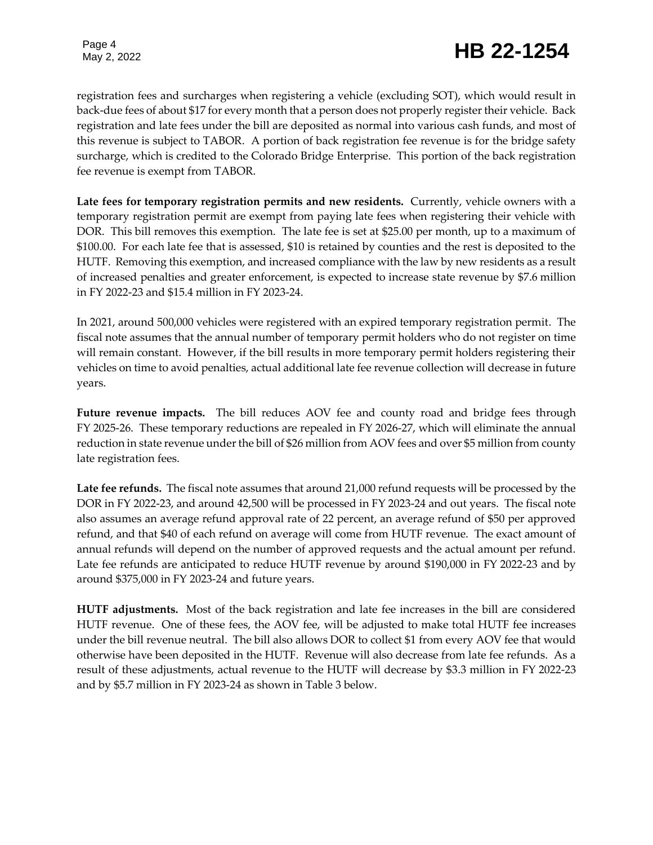## May 2, 2022 **HB 22-1254**

registration fees and surcharges when registering a vehicle (excluding SOT), which would result in back-due fees of about \$17 for every month that a person does not properly register their vehicle. Back registration and late fees under the bill are deposited as normal into various cash funds, and most of this revenue is subject to TABOR. A portion of back registration fee revenue is for the bridge safety surcharge, which is credited to the Colorado Bridge Enterprise. This portion of the back registration fee revenue is exempt from TABOR.

**Late fees for temporary registration permits and new residents.** Currently, vehicle owners with a temporary registration permit are exempt from paying late fees when registering their vehicle with DOR. This bill removes this exemption. The late fee is set at \$25.00 per month, up to a maximum of \$100.00. For each late fee that is assessed, \$10 is retained by counties and the rest is deposited to the HUTF. Removing this exemption, and increased compliance with the law by new residents as a result of increased penalties and greater enforcement, is expected to increase state revenue by \$7.6 million in FY 2022-23 and \$15.4 million in FY 2023-24.

In 2021, around 500,000 vehicles were registered with an expired temporary registration permit. The fiscal note assumes that the annual number of temporary permit holders who do not register on time will remain constant. However, if the bill results in more temporary permit holders registering their vehicles on time to avoid penalties, actual additional late fee revenue collection will decrease in future years.

**Future revenue impacts.** The bill reduces AOV fee and county road and bridge fees through FY 2025-26. These temporary reductions are repealed in FY 2026-27, which will eliminate the annual reduction in state revenue under the bill of \$26 million from AOV fees and over \$5 million from county late registration fees.

**Late fee refunds.** The fiscal note assumes that around 21,000 refund requests will be processed by the DOR in FY 2022-23, and around 42,500 will be processed in FY 2023-24 and out years. The fiscal note also assumes an average refund approval rate of 22 percent, an average refund of \$50 per approved refund, and that \$40 of each refund on average will come from HUTF revenue. The exact amount of annual refunds will depend on the number of approved requests and the actual amount per refund. Late fee refunds are anticipated to reduce HUTF revenue by around \$190,000 in FY 2022-23 and by around \$375,000 in FY 2023-24 and future years.

**HUTF adjustments.** Most of the back registration and late fee increases in the bill are considered HUTF revenue. One of these fees, the AOV fee, will be adjusted to make total HUTF fee increases under the bill revenue neutral. The bill also allows DOR to collect \$1 from every AOV fee that would otherwise have been deposited in the HUTF. Revenue will also decrease from late fee refunds. As a result of these adjustments, actual revenue to the HUTF will decrease by \$3.3 million in FY 2022-23 and by \$5.7 million in FY 2023-24 as shown in Table 3 below.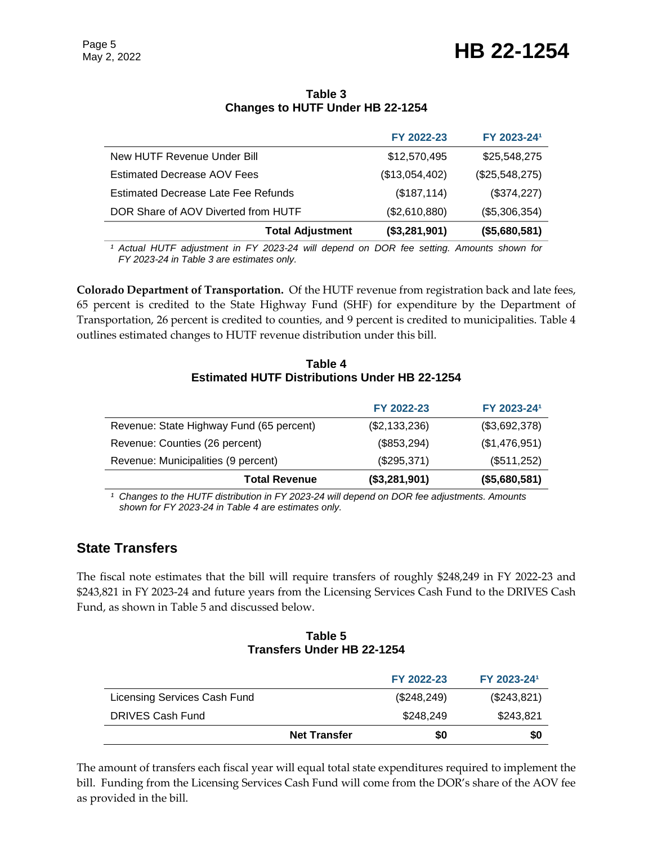## May 2, 2022 **HB 22-1254**

#### **Table 3 Changes to HUTF Under HB 22-1254**

| <b>Total Adjustment</b>             | (\$3,281,901)  | (\$5,680,581)  |
|-------------------------------------|----------------|----------------|
| DOR Share of AOV Diverted from HUTF | (\$2,610,880)  | (\$5,306,354)  |
| Estimated Decrease Late Fee Refunds | (\$187, 114)   | (\$374,227)    |
| <b>Estimated Decrease AOV Fees</b>  | (\$13,054,402) | (\$25,548,275) |
| New HUTF Revenue Under Bill         | \$12,570,495   | \$25,548,275   |
|                                     | FY 2022-23     | FY 2023-241    |

*¹ Actual HUTF adjustment in FY 2023-24 will depend on DOR fee setting. Amounts shown for FY 2023-24 in Table 3 are estimates only.*

**Colorado Department of Transportation.** Of the HUTF revenue from registration back and late fees, 65 percent is credited to the State Highway Fund (SHF) for expenditure by the Department of Transportation, 26 percent is credited to counties, and 9 percent is credited to municipalities. Table 4 outlines estimated changes to HUTF revenue distribution under this bill.

#### **Table 4 Estimated HUTF Distributions Under HB 22-1254**

|                                          | FY 2022-23    | FY 2023-241   |
|------------------------------------------|---------------|---------------|
| Revenue: State Highway Fund (65 percent) | (\$2,133,236) | (\$3,692,378) |
| Revenue: Counties (26 percent)           | (\$853,294)   | (\$1,476,951) |
| Revenue: Municipalities (9 percent)      | (\$295,371)   | (\$511,252)   |
| <b>Total Revenue</b>                     | (\$3,281,901) | (\$5,680,581) |

*¹ Changes to the HUTF distribution in FY 2023-24 will depend on DOR fee adjustments. Amounts shown for FY 2023-24 in Table 4 are estimates only.*

## **State Transfers**

The fiscal note estimates that the bill will require transfers of roughly \$248,249 in FY 2022-23 and \$243,821 in FY 2023-24 and future years from the Licensing Services Cash Fund to the DRIVES Cash Fund, as shown in Table 5 and discussed below.

#### **Table 5 Transfers Under HB 22-1254**

|                              |                     | FY 2022-23  | FY 2023-241 |
|------------------------------|---------------------|-------------|-------------|
| Licensing Services Cash Fund |                     | (\$248,249) | (\$243,821) |
| <b>DRIVES Cash Fund</b>      |                     | \$248,249   | \$243,821   |
|                              | <b>Net Transfer</b> | \$0         | \$0         |

The amount of transfers each fiscal year will equal total state expenditures required to implement the bill. Funding from the Licensing Services Cash Fund will come from the DOR's share of the AOV fee as provided in the bill.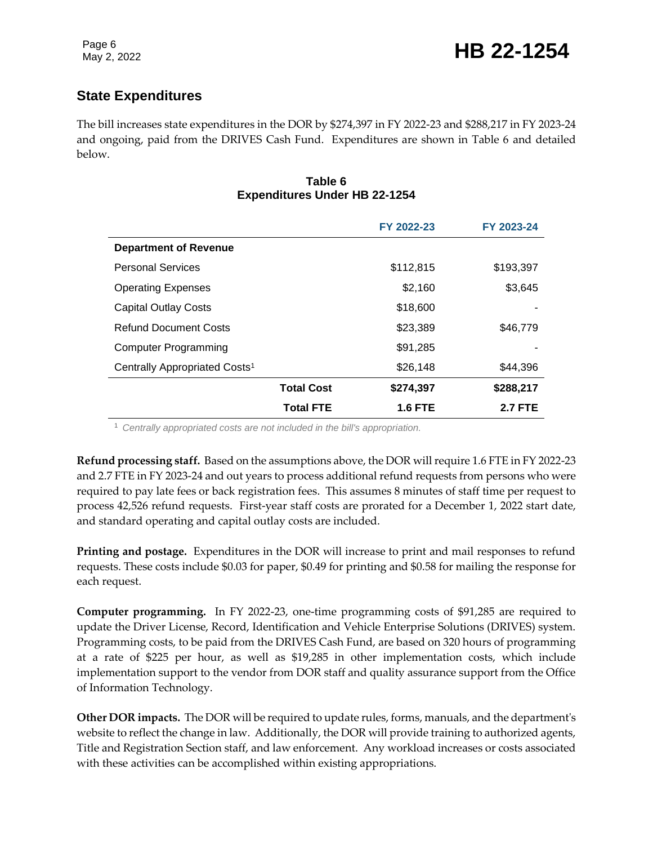## **State Expenditures**

The bill increases state expenditures in the DOR by \$274,397 in FY 2022-23 and \$288,217 in FY 2023-24 and ongoing, paid from the DRIVES Cash Fund. Expenditures are shown in Table 6 and detailed below.

#### **Table 6 Expenditures Under HB 22-1254**

|                                           |                   | FY 2022-23     | FY 2023-24     |
|-------------------------------------------|-------------------|----------------|----------------|
| <b>Department of Revenue</b>              |                   |                |                |
| <b>Personal Services</b>                  |                   | \$112,815      | \$193,397      |
| <b>Operating Expenses</b>                 |                   | \$2,160        | \$3,645        |
| <b>Capital Outlay Costs</b>               |                   | \$18,600       |                |
| <b>Refund Document Costs</b>              |                   | \$23,389       | \$46,779       |
| <b>Computer Programming</b>               |                   | \$91,285       |                |
| Centrally Appropriated Costs <sup>1</sup> |                   | \$26,148       | \$44.396       |
|                                           | <b>Total Cost</b> | \$274,397      | \$288,217      |
|                                           | <b>Total FTE</b>  | <b>1.6 FTE</b> | <b>2.7 FTE</b> |

<sup>1</sup> *Centrally appropriated costs are not included in the bill's appropriation.*

**Refund processing staff.** Based on the assumptions above, the DOR will require 1.6 FTE in FY 2022-23 and 2.7 FTE in FY 2023-24 and out years to process additional refund requests from persons who were required to pay late fees or back registration fees. This assumes 8 minutes of staff time per request to process 42,526 refund requests. First-year staff costs are prorated for a December 1, 2022 start date, and standard operating and capital outlay costs are included.

**Printing and postage.** Expenditures in the DOR will increase to print and mail responses to refund requests. These costs include \$0.03 for paper, \$0.49 for printing and \$0.58 for mailing the response for each request.

**Computer programming.** In FY 2022-23, one-time programming costs of \$91,285 are required to update the Driver License, Record, Identification and Vehicle Enterprise Solutions (DRIVES) system. Programming costs, to be paid from the DRIVES Cash Fund, are based on 320 hours of programming at a rate of \$225 per hour, as well as \$19,285 in other implementation costs, which include implementation support to the vendor from DOR staff and quality assurance support from the Office of Information Technology.

**Other DOR impacts.** The DOR will be required to update rules, forms, manuals, and the department's website to reflect the change in law. Additionally, the DOR will provide training to authorized agents, Title and Registration Section staff, and law enforcement. Any workload increases or costs associated with these activities can be accomplished within existing appropriations.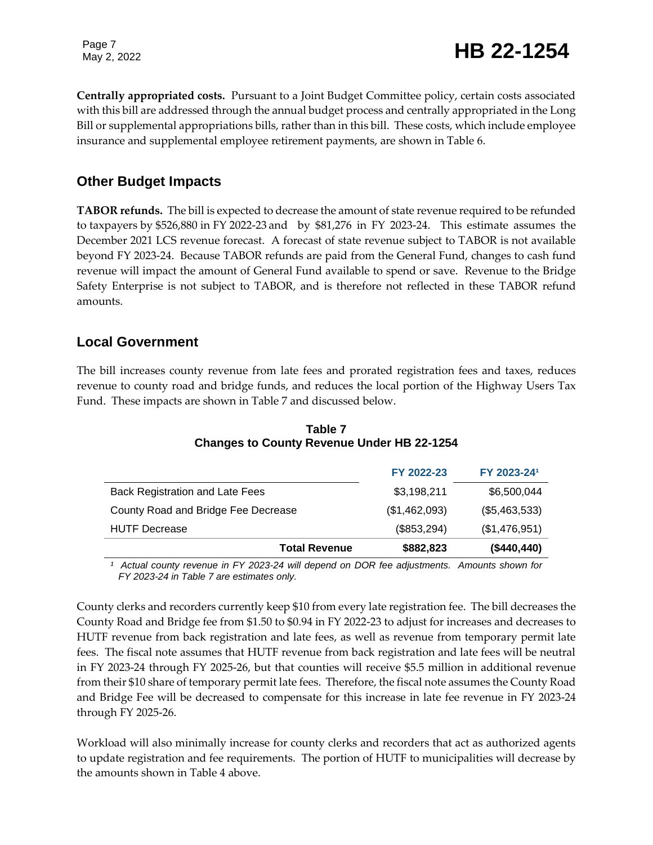## Page 7<br>May 2, 2022 **HB** 22-1254

**Centrally appropriated costs.** Pursuant to a Joint Budget Committee policy, certain costs associated with this bill are addressed through the annual budget process and centrally appropriated in the Long Bill or supplemental appropriations bills, rather than in this bill. These costs, which include employee insurance and supplemental employee retirement payments, are shown in Table 6.

#### **Other Budget Impacts**

**TABOR refunds.** The bill is expected to decrease the amount of state revenue required to be refunded to taxpayers by \$526,880 in FY 2022-23 and by \$81,276 in FY 2023-24. This estimate assumes the December 2021 LCS revenue forecast. A forecast of state revenue subject to TABOR is not available beyond FY 2023-24. Because TABOR refunds are paid from the General Fund, changes to cash fund revenue will impact the amount of General Fund available to spend or save. Revenue to the Bridge Safety Enterprise is not subject to TABOR, and is therefore not reflected in these TABOR refund amounts.

#### **Local Government**

The bill increases county revenue from late fees and prorated registration fees and taxes, reduces revenue to county road and bridge funds, and reduces the local portion of the Highway Users Tax Fund. These impacts are shown in Table 7 and discussed below.

|                                        | FY 2022-23    | FY 2023-241   |
|----------------------------------------|---------------|---------------|
| <b>Back Registration and Late Fees</b> | \$3,198,211   | \$6,500,044   |
| County Road and Bridge Fee Decrease    | (\$1,462,093) | (\$5,463,533) |
| <b>HUTF Decrease</b>                   | (\$853,294)   | (\$1,476,951) |
| <b>Total Revenue</b>                   | \$882,823     | (\$440,440)   |

#### **Table 7 Changes to County Revenue Under HB 22-1254**

*¹ Actual county revenue in FY 2023-24 will depend on DOR fee adjustments. Amounts shown for FY 2023-24 in Table 7 are estimates only.*

County clerks and recorders currently keep \$10 from every late registration fee. The bill decreases the County Road and Bridge fee from \$1.50 to \$0.94 in FY 2022-23 to adjust for increases and decreases to HUTF revenue from back registration and late fees, as well as revenue from temporary permit late fees. The fiscal note assumes that HUTF revenue from back registration and late fees will be neutral in FY 2023-24 through FY 2025-26, but that counties will receive \$5.5 million in additional revenue from their \$10 share of temporary permit late fees. Therefore, the fiscal note assumes the County Road and Bridge Fee will be decreased to compensate for this increase in late fee revenue in FY 2023-24 through FY 2025-26.

Workload will also minimally increase for county clerks and recorders that act as authorized agents to update registration and fee requirements. The portion of HUTF to municipalities will decrease by the amounts shown in Table 4 above.